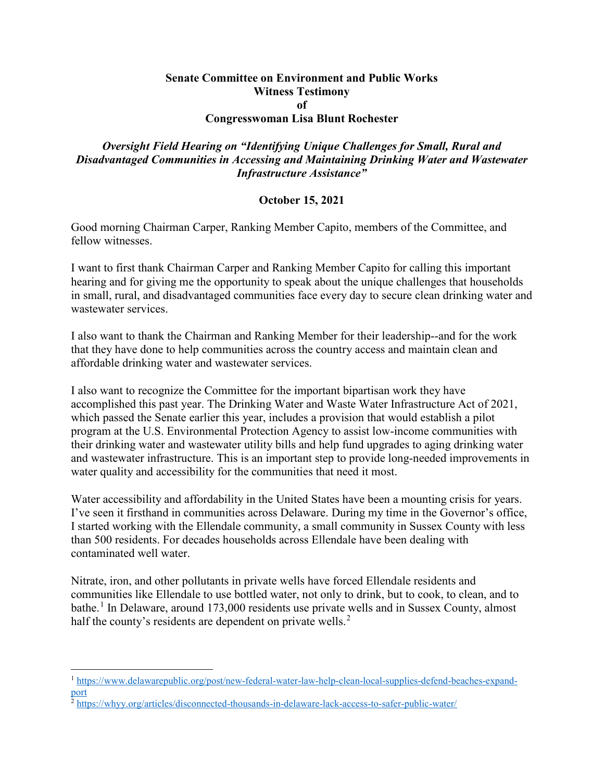## **Senate Committee on Environment and Public Works Witness Testimony of**

## **Congresswoman Lisa Blunt Rochester**

## *Oversight Field Hearing on "Identifying Unique Challenges for Small, Rural and Disadvantaged Communities in Accessing and Maintaining Drinking Water and Wastewater Infrastructure Assistance"*

## **October 15, 2021**

Good morning Chairman Carper, Ranking Member Capito, members of the Committee, and fellow witnesses.

I want to first thank Chairman Carper and Ranking Member Capito for calling this important hearing and for giving me the opportunity to speak about the unique challenges that households in small, rural, and disadvantaged communities face every day to secure clean drinking water and wastewater services.

I also want to thank the Chairman and Ranking Member for their leadership--and for the work that they have done to help communities across the country access and maintain clean and affordable drinking water and wastewater services.

I also want to recognize the Committee for the important bipartisan work they have accomplished this past year. The Drinking Water and Waste Water Infrastructure Act of 2021, which passed the Senate earlier this year, includes a provision that would establish a pilot program at the U.S. Environmental Protection Agency to assist low-income communities with their drinking water and wastewater utility bills and help fund upgrades to aging drinking water and wastewater infrastructure. This is an important step to provide long-needed improvements in water quality and accessibility for the communities that need it most.

Water accessibility and affordability in the United States have been a mounting crisis for years. I've seen it firsthand in communities across Delaware. During my time in the Governor's office, I started working with the Ellendale community, a small community in Sussex County with less than 500 residents. For decades households across Ellendale have been dealing with contaminated well water.

Nitrate, iron, and other pollutants in private wells have forced Ellendale residents and communities like Ellendale to use bottled water, not only to drink, but to cook, to clean, and to bathe.[1](#page-0-0) In Delaware, around 173,000 residents use private wells and in Sussex County, almost half the county's residents are dependent on private wells.<sup>[2](#page-0-1)</sup>

<span id="page-0-0"></span> <sup>1</sup> [https://www.delawarepublic.org/post/new-federal-water-law-help-clean-local-supplies-defend-beaches-expand](https://www.delawarepublic.org/post/new-federal-water-law-help-clean-local-supplies-defend-beaches-expand-port)[port](https://www.delawarepublic.org/post/new-federal-water-law-help-clean-local-supplies-defend-beaches-expand-port)

<span id="page-0-1"></span> $^2$  <https://whyy.org/articles/disconnected-thousands-in-delaware-lack-access-to-safer-public-water/>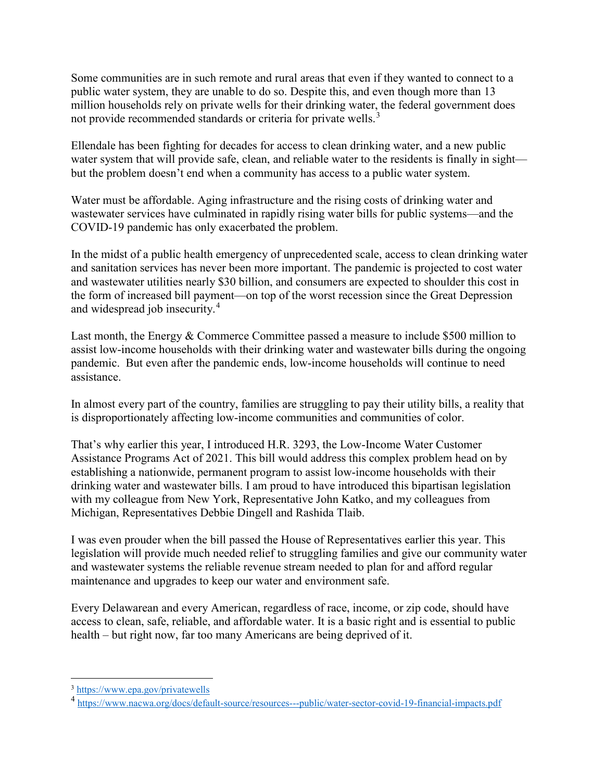Some communities are in such remote and rural areas that even if they wanted to connect to a public water system, they are unable to do so. Despite this, and even though more than 13 million households rely on private wells for their drinking water, the federal government does not provide recommended standards or criteria for private wells.<sup>[3](#page-1-0)</sup>

Ellendale has been fighting for decades for access to clean drinking water, and a new public water system that will provide safe, clean, and reliable water to the residents is finally in sight but the problem doesn't end when a community has access to a public water system.

Water must be affordable. Aging infrastructure and the rising costs of drinking water and wastewater services have culminated in rapidly rising water bills for public systems—and the COVID-19 pandemic has only exacerbated the problem.

In the midst of a public health emergency of unprecedented scale, access to clean drinking water and sanitation services has never been more important. The pandemic is projected to cost water and wastewater utilities nearly \$30 billion, and consumers are expected to shoulder this cost in the form of increased bill payment—on top of the worst recession since the Great Depression and widespread job insecurity.[4](#page-1-1)

Last month, the Energy & Commerce Committee passed a measure to include \$500 million to assist low-income households with their drinking water and wastewater bills during the ongoing pandemic. But even after the pandemic ends, low-income households will continue to need assistance.

In almost every part of the country, families are struggling to pay their utility bills, a reality that is disproportionately affecting low-income communities and communities of color.

That's why earlier this year, I introduced H.R. 3293, the Low-Income Water Customer Assistance Programs Act of 2021. This bill would address this complex problem head on by establishing a nationwide, permanent program to assist low-income households with their drinking water and wastewater bills. I am proud to have introduced this bipartisan legislation with my colleague from New York, Representative John Katko, and my colleagues from Michigan, Representatives Debbie Dingell and Rashida Tlaib.

I was even prouder when the bill passed the House of Representatives earlier this year. This legislation will provide much needed relief to struggling families and give our community water and wastewater systems the reliable revenue stream needed to plan for and afford regular maintenance and upgrades to keep our water and environment safe.

Every Delawarean and every American, regardless of race, income, or zip code, should have access to clean, safe, reliable, and affordable water. It is a basic right and is essential to public health – but right now, far too many Americans are being deprived of it.

<span id="page-1-0"></span> <sup>3</sup> <https://www.epa.gov/privatewells>

<span id="page-1-1"></span><sup>4</sup> <https://www.nacwa.org/docs/default-source/resources---public/water-sector-covid-19-financial-impacts.pdf>